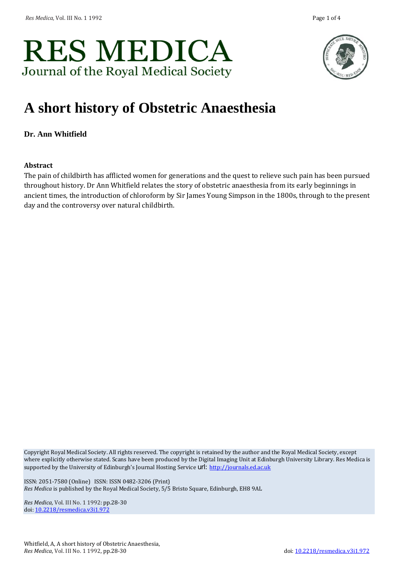



# **A short history of Obstetric Anaesthesia**

**Dr. Ann Whitfield**

#### **Abstract**

The pain of childbirth has afflicted women for generations and the quest to relieve such pain has been pursued throughout history. Dr Ann Whitfield relates the story of obstetric anaesthesia from its early beginnings in ancient times, the introduction of chloroform by Sir James Young Simpson in the 1800s, through to the present day and the controversy over natural childbirth.

Copyright Royal Medical Society. All rights reserved. The copyright is retained by the author and the Royal Medical Society, except where explicitly otherwise stated. Scans have been produced by the Digital Imaging Unit at Edinburgh University Library. Res Medica is supported by the University of Edinburgh's Journal Hosting Service url: [http://journals.ed.ac.uk](http://journals.ed.ac.uk/)

ISSN: 2051-7580 (Online) ISSN: ISSN 0482-3206 (Print) *Res Medica* is published by the Royal Medical Society, 5/5 Bristo Square, Edinburgh, EH8 9AL

*Res Medica,* Vol. III No. 1 1992: pp.28-30 doi[: 10.2218/resmedica.v3i1.972](http://dx.doi.org/10.2218/resmedica.v3i1.972)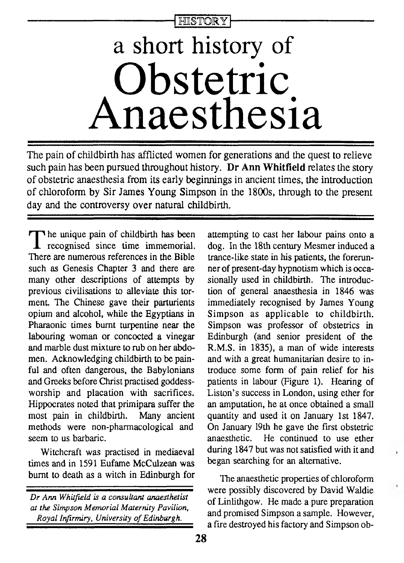**HISTORY** 

# **a short history of Obstetric Anaesthesia**

**The pain of childbirth has afflicted women for generations and the quest to relieve such pain has been pursued throughout history. Dr Ann Whitfield relates the story of obstetric anaesthesia from its early beginnings in ancient times, the introduction of chloroform by Sir James Young Simpson in the 1800s, through to the present day and the controversy over natural childbirth.**

The unique pain of childbirth has been<br>recognised since time immemorial.<br>There are numerous references in the Bible he unique pain of childbirth has been recognised since time immemorial. such as Genesis Chapter 3 and there are many other descriptions of attempts by previous civilisations to alleviate this torment. The Chinese gave their parturients opium and alcohol, while the Egyptians in Pharaonic times burnt turpentine near the labouring woman or concocted a vinegar and marble dust mixture to rub on her abdomen. Acknowledging childbirth to be painful and often dangerous, the Babylonians and Greeks before Christ practised goddessworship and placation with sacrifices. Hippocrates noted that primipara suffer the most pain in childbirth. Many ancient methods were non-pharmacological and seem to us barbaric.

Witchcraft was practised in mediaeval times and in 1591 Eufame McCulzean was burnt to death as a witch in Edinburgh for

attempting to cast her labour pains onto a dog. In the 18th century Mesmer induced a trance-like state in his patients, the forerunner of present-day hypnotism which is occasionally used in childbirth. The introduction of general anaesthesia in 1846 was immediately recognised by James Young Simpson as applicable to childbirth. Simpson was professor of obstetrics in Edinburgh (and senior president of the R.M.S. in 1835), a man of wide interests and with a great humanitarian desire to introduce some form of pain relief for his patients in labour (Figure 1). Hearing of Liston's success in London, using ether for an amputation, he at once obtained a small quantity and used it on January 1st 1847. On January 19th he gave the first obstetric anaesthetic. He continued to use ether during 1847 but was not satisfied with it and began searching for an alternative.

The anaesthetic properties of chloroform were possibly discovered by David Waldie of Linlithgow. He made a pure preparation and promised Simpson a sample. However, a fire destroyed his factory and Simpson ob-

*D r Ann Whitfield is a consultant anaesthetist at the Simpson Memorial Maternity Pavilion, Royal Infirmiry, University o f Edinburgh.*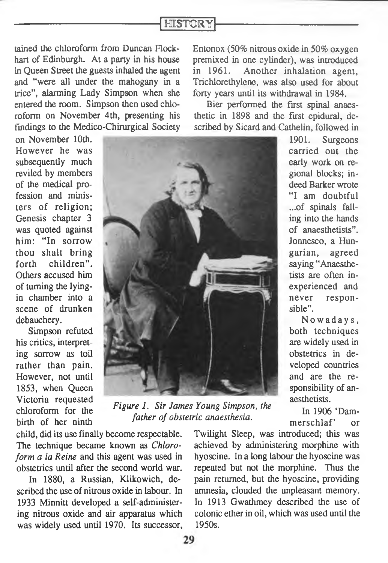## **HISTORY**

tained the chloroform from Duncan Flockhart of Edinburgh. At a party in his house in Queen Street the guests inhaled the agent and "were all under the mahogany in a trice", alarming Lady Simpson when she entered the room. Simpson then used chloroform on November 4th, presenting his findings to the Medico-Chirurgical Society

on November 10th. However he was subsequently much reviled by members of the medical profession and ministers of religion; Genesis chapter 3 was quoted against him: "In sorrow thou shalt bring forth children". Others accused him of turning the lyingin chamber into a scene of drunken debauchery.

Simpson refuted his critics, interpreting sorrow as toil rather than pain. However, not until 1853, when Queen Victoria requested chloroform for the birth of her ninth



*Figure 1. Sir James Young Simpson, the father of obstetric anaesthesia.*

child, did its use finally become respectable. The technique became known as *Chloroform a la Reine* and this agent was used in obstetrics until after the second world war.

In 1880, a Russian, Klikowich, described the use of nitrous oxide in labour. In 1933 Minnitt developed a self-administering nitrous oxide and air apparatus which was widely used until 1970. Its successor, Entonox (50% nitrous oxide in 50% oxygen premixed in one cylinder), was introduced in 1961. Another inhalation agent, Trichlorethylene, was also used for about forty years until its withdrawal in 1984.

Bier performed the first spinal anaesthetic in 1898 and the first epidural, described by Sicard and Cathelin, followed in

> 1901. Surgeons carried out the early work on regional blocks; indeed Barker wrote "I am doubtful ...of spinals falling into the hands of anaesthetists". Jonnesco, a Hungarian, agreed saying "Anaesthetists are often inexperienced and never responsible".

> Nowadays, both techniques are widely used in obstetrics in developed countries and are the responsibility of anaesthetists.

> In 1906 'Dammerschlaf' or

Twilight Sleep, was introduced; this was achieved by administering morphine with hyoscine. In a long labour the hyoscine was repeated but not the morphine. Thus the pain returned, but the hyoscine, providing amnesia, clouded the unpleasant memory. In 1913 Gwathmey described the use of colonic ether in oil, which was used until the 1950s.